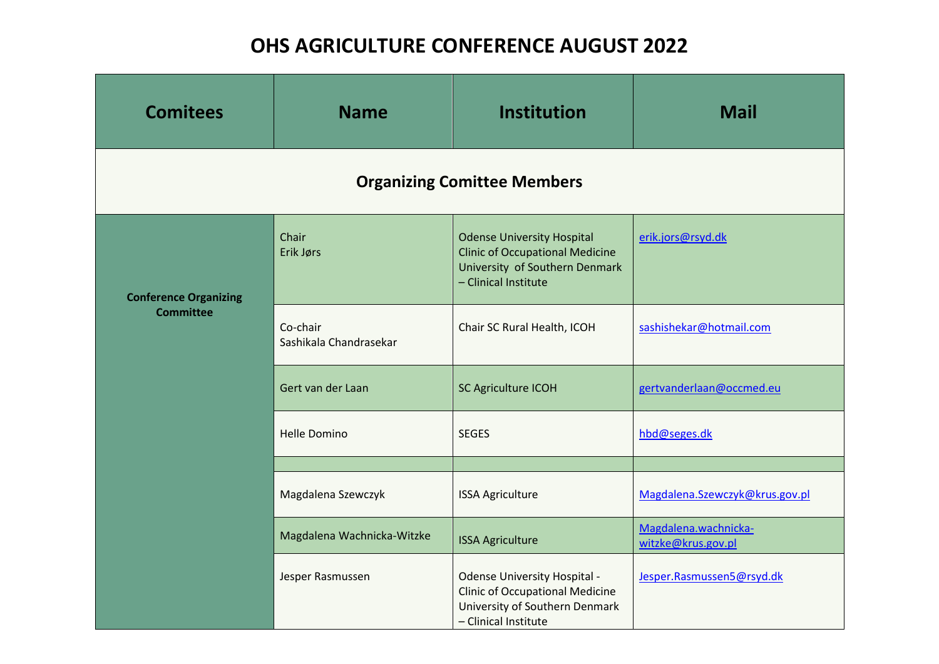## **OHS AGRICULTURE CONFERENCE AUGUST 2022**

| <b>Comitees</b>                                  | <b>Name</b>                        | <b>Institution</b>                                                                                                                      | <b>Mail</b>                                |  |  |  |
|--------------------------------------------------|------------------------------------|-----------------------------------------------------------------------------------------------------------------------------------------|--------------------------------------------|--|--|--|
| <b>Organizing Comittee Members</b>               |                                    |                                                                                                                                         |                                            |  |  |  |
| <b>Conference Organizing</b><br><b>Committee</b> | Chair<br>Erik Jørs                 | <b>Odense University Hospital</b><br><b>Clinic of Occupational Medicine</b><br>University of Southern Denmark<br>- Clinical Institute   | erik.jors@rsyd.dk                          |  |  |  |
|                                                  | Co-chair<br>Sashikala Chandrasekar | Chair SC Rural Health, ICOH                                                                                                             | sashishekar@hotmail.com                    |  |  |  |
|                                                  | Gert van der Laan                  | SC Agriculture ICOH                                                                                                                     | gertvanderlaan@occmed.eu                   |  |  |  |
|                                                  | <b>Helle Domino</b>                | <b>SEGES</b>                                                                                                                            | hbd@seges.dk                               |  |  |  |
|                                                  |                                    |                                                                                                                                         |                                            |  |  |  |
|                                                  | Magdalena Szewczyk                 | <b>ISSA Agriculture</b>                                                                                                                 | Magdalena.Szewczyk@krus.gov.pl             |  |  |  |
|                                                  | Magdalena Wachnicka-Witzke         | <b>ISSA Agriculture</b>                                                                                                                 | Magdalena.wachnicka-<br>witzke@krus.gov.pl |  |  |  |
|                                                  | Jesper Rasmussen                   | <b>Odense University Hospital -</b><br><b>Clinic of Occupational Medicine</b><br>University of Southern Denmark<br>- Clinical Institute | Jesper.Rasmussen5@rsyd.dk                  |  |  |  |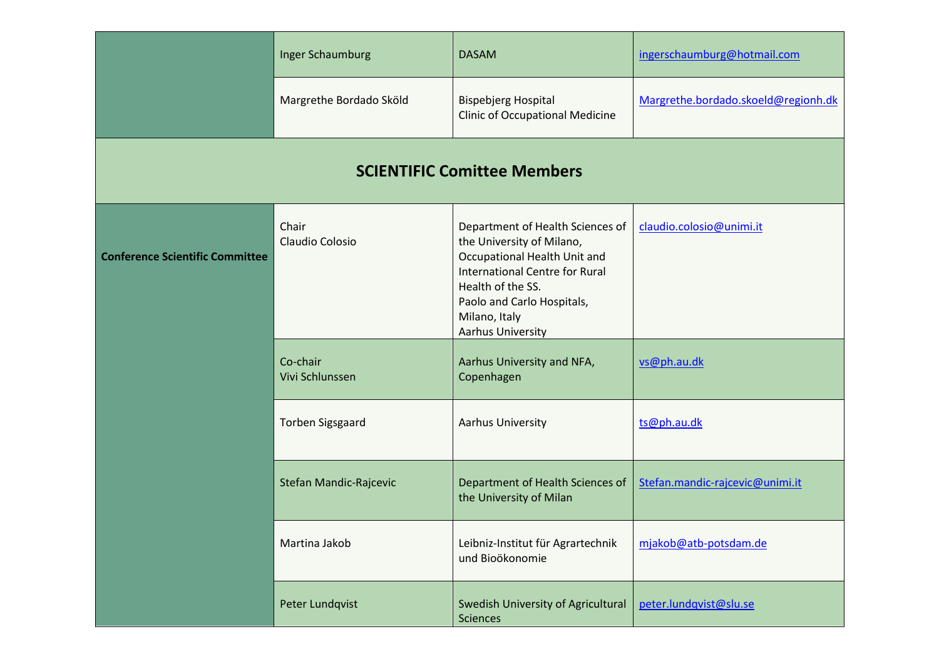|                                        | <b>Inger Schaumburg</b>     | <b>DASAM</b>                                                                                                                                                                                                                           | ingerschaumburg@hotmail.com         |  |  |
|----------------------------------------|-----------------------------|----------------------------------------------------------------------------------------------------------------------------------------------------------------------------------------------------------------------------------------|-------------------------------------|--|--|
|                                        | Margrethe Bordado Sköld     | <b>Bispebjerg Hospital</b><br><b>Clinic of Occupational Medicine</b>                                                                                                                                                                   | Margrethe.bordado.skoeld@regionh.dk |  |  |
| <b>SCIENTIFIC Comittee Members</b>     |                             |                                                                                                                                                                                                                                        |                                     |  |  |
| <b>Conference Scientific Committee</b> | Chair<br>Claudio Colosio    | Department of Health Sciences of<br>the University of Milano,<br>Occupational Health Unit and<br><b>International Centre for Rural</b><br>Health of the SS.<br>Paolo and Carlo Hospitals,<br>Milano, Italy<br><b>Aarhus University</b> | claudio.colosio@unimi.it            |  |  |
|                                        | Co-chair<br>Vivi Schlunssen | Aarhus University and NFA,<br>Copenhagen                                                                                                                                                                                               | vs@ph.au.dk                         |  |  |
|                                        | <b>Torben Sigsgaard</b>     | <b>Aarhus University</b>                                                                                                                                                                                                               | ts@ph.au.dk                         |  |  |
|                                        | Stefan Mandic-Rajcevic      | Department of Health Sciences of<br>the University of Milan                                                                                                                                                                            | Stefan.mandic-rajcevic@unimi.it     |  |  |
|                                        | Martina Jakob               | Leibniz-Institut für Agrartechnik<br>und Bioökonomie                                                                                                                                                                                   | mjakob@atb-potsdam.de               |  |  |
|                                        | Peter Lundqvist             | Swedish University of Agricultural<br>Sciences                                                                                                                                                                                         | peter.lundqvist@slu.se              |  |  |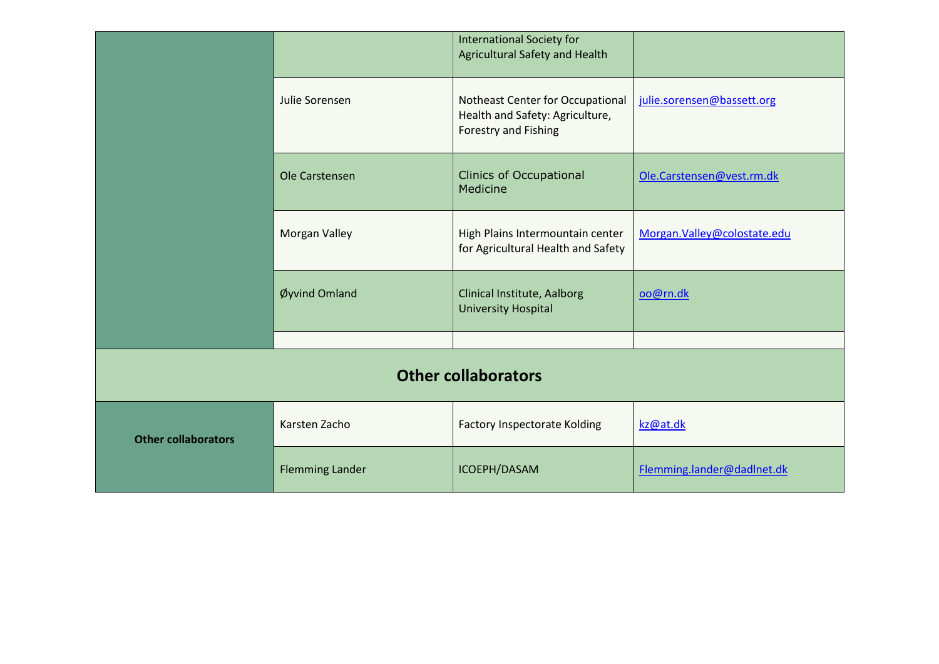|                            |                        | International Society for<br>Agricultural Safety and Health                                 |                             |  |  |
|----------------------------|------------------------|---------------------------------------------------------------------------------------------|-----------------------------|--|--|
|                            | Julie Sorensen         | Notheast Center for Occupational<br>Health and Safety: Agriculture,<br>Forestry and Fishing | julie.sorensen@bassett.org  |  |  |
|                            | Ole Carstensen         | <b>Clinics of Occupational</b><br>Medicine                                                  | Ole.Carstensen@vest.rm.dk   |  |  |
|                            | <b>Morgan Valley</b>   | High Plains Intermountain center<br>for Agricultural Health and Safety                      | Morgan.Valley@colostate.edu |  |  |
|                            | Øyvind Omland          | Clinical Institute, Aalborg<br><b>University Hospital</b>                                   | oo@rn.dk                    |  |  |
|                            |                        |                                                                                             |                             |  |  |
| <b>Other collaborators</b> |                        |                                                                                             |                             |  |  |
| <b>Other collaborators</b> | Karsten Zacho          | <b>Factory Inspectorate Kolding</b>                                                         | kz@at.dk                    |  |  |
|                            | <b>Flemming Lander</b> | ICOEPH/DASAM                                                                                | Flemming.lander@dadInet.dk  |  |  |